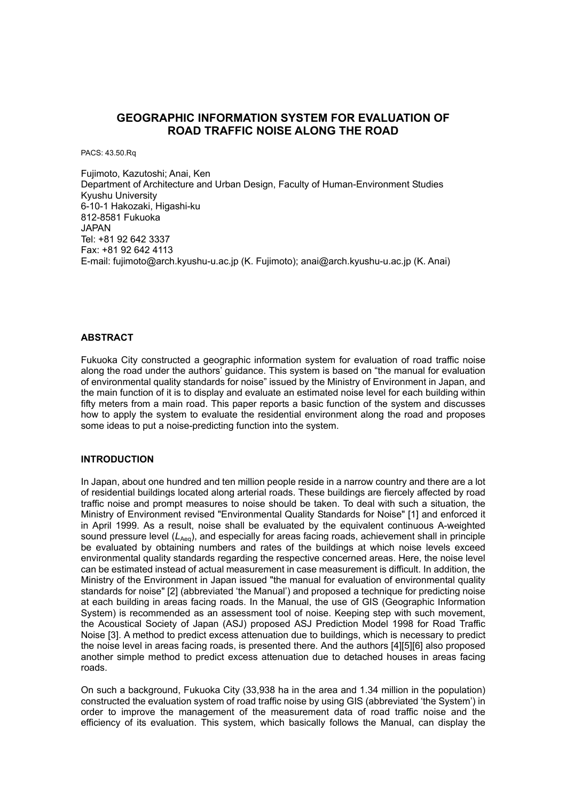# **GEOGRAPHIC INFORMATION SYSTEM FOR EVALUATION OF ROAD TRAFFIC NOISE ALONG THE ROAD**

PACS: 43.50.Rq

Fujimoto, Kazutoshi; Anai, Ken Department of Architecture and Urban Design, Faculty of Human-Environment Studies Kyushu University 6-10-1 Hakozaki, Higashi-ku 812-8581 Fukuoka JAPAN Tel: +81 92 642 3337 Fax: +81 92 642 4113 E-mail: fujimoto@arch.kyushu-u.ac.jp (K. Fujimoto); anai@arch.kyushu-u.ac.jp (K. Anai)

# **ABSTRACT**

Fukuoka City constructed a geographic information system for evaluation of road traffic noise along the road under the authors' guidance. This system is based on "the manual for evaluation of environmental quality standards for noise" issued by the Ministry of Environment in Japan, and the main function of it is to display and evaluate an estimated noise level for each building within fifty meters from a main road. This paper reports a basic function of the system and discusses how to apply the system to evaluate the residential environment along the road and proposes some ideas to put a noise-predicting function into the system.

### **INTRODUCTION**

In Japan, about one hundred and ten million people reside in a narrow country and there are a lot of residential buildings located along arterial roads. These buildings are fiercely affected by road traffic noise and prompt measures to noise should be taken. To deal with such a situation, the Ministry of Environment revised "Environmental Quality Standards for Noise" [1] and enforced it in April 1999. As a result, noise shall be evaluated by the equivalent continuous A-weighted sound pressure level ( $L_{Aeq}$ ), and especially for areas facing roads, achievement shall in principle be evaluated by obtaining numbers and rates of the buildings at which noise levels exceed environmental quality standards regarding the respective concerned areas. Here, the noise level can be estimated instead of actual measurement in case measurement is difficult. In addition, the Ministry of the Environment in Japan issued "the manual for evaluation of environmental quality standards for noise" [2] (abbreviated 'the Manual') and proposed a technique for predicting noise at each building in areas facing roads. In the Manual, the use of GIS (Geographic Information System) is recommended as an assessment tool of noise. Keeping step with such movement, the Acoustical Society of Japan (ASJ) proposed ASJ Prediction Model 1998 for Road Traffic Noise [3]. A method to predict excess attenuation due to buildings, which is necessary to predict the noise level in areas facing roads, is presented there. And the authors [4][5][6] also proposed another simple method to predict excess attenuation due to detached houses in areas facing roads.

On such a background, Fukuoka City (33,938 ha in the area and 1.34 million in the population) constructed the evaluation system of road traffic noise by using GIS (abbreviated 'the System') in order to improve the management of the measurement data of road traffic noise and the efficiency of its evaluation. This system, which basically follows the Manual, can display the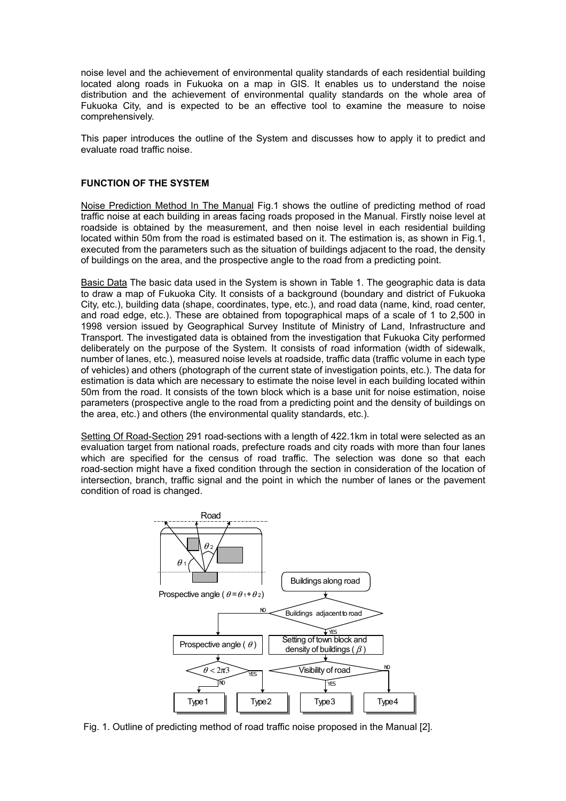noise level and the achievement of environmental quality standards of each residential building located along roads in Fukuoka on a map in GIS. It enables us to understand the noise distribution and the achievement of environmental quality standards on the whole area of Fukuoka City, and is expected to be an effective tool to examine the measure to noise comprehensively.

This paper introduces the outline of the System and discusses how to apply it to predict and evaluate road traffic noise.

## **FUNCTION OF THE SYSTEM**

Noise Prediction Method In The Manual Fig.1 shows the outline of predicting method of road traffic noise at each building in areas facing roads proposed in the Manual. Firstly noise level at roadside is obtained by the measurement, and then noise level in each residential building located within 50m from the road is estimated based on it. The estimation is, as shown in Fig.1, executed from the parameters such as the situation of buildings adjacent to the road, the density of buildings on the area, and the prospective angle to the road from a predicting point.

Basic Data The basic data used in the System is shown in Table 1. The geographic data is data to draw a map of Fukuoka City. It consists of a background (boundary and district of Fukuoka City, etc.), building data (shape, coordinates, type, etc.), and road data (name, kind, road center, and road edge, etc.). These are obtained from topographical maps of a scale of 1 to 2,500 in 1998 version issued by Geographical Survey Institute of Ministry of Land, Infrastructure and Transport. The investigated data is obtained from the investigation that Fukuoka City performed deliberately on the purpose of the System. It consists of road information (width of sidewalk, number of lanes, etc.), measured noise levels at roadside, traffic data (traffic volume in each type of vehicles) and others (photograph of the current state of investigation points, etc.). The data for estimation is data which are necessary to estimate the noise level in each building located within 50m from the road. It consists of the town block which is a base unit for noise estimation, noise parameters (prospective angle to the road from a predicting point and the density of buildings on the area, etc.) and others (the environmental quality standards, etc.).

Setting Of Road-Section 291 road-sections with a length of 422.1km in total were selected as an evaluation target from national roads, prefecture roads and city roads with more than four lanes which are specified for the census of road traffic. The selection was done so that each road-section might have a fixed condition through the section in consideration of the location of intersection, branch, traffic signal and the point in which the number of lanes or the pavement condition of road is changed.



Fig. 1. Outline of predicting method of road traffic noise proposed in the Manual [2].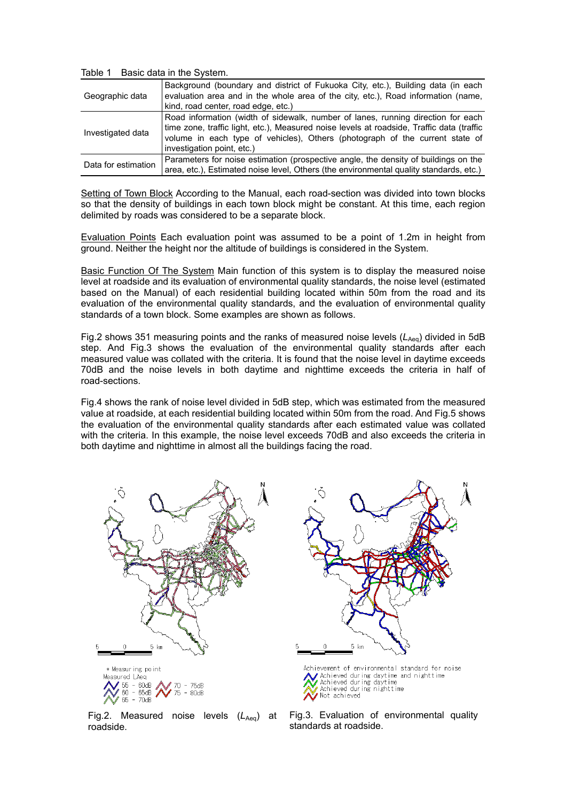Table 1 Basic data in the System.

| Geographic data     | Background (boundary and district of Fukuoka City, etc.), Building data (in each<br>evaluation area and in the whole area of the city, etc.), Road information (name,<br>kind, road center, road edge, etc.)                                                                                |
|---------------------|---------------------------------------------------------------------------------------------------------------------------------------------------------------------------------------------------------------------------------------------------------------------------------------------|
| Investigated data   | Road information (width of sidewalk, number of lanes, running direction for each<br>time zone, traffic light, etc.), Measured noise levels at roadside, Traffic data (traffic<br>volume in each type of vehicles), Others (photograph of the current state of<br>investigation point, etc.) |
| Data for estimation | Parameters for noise estimation (prospective angle, the density of buildings on the<br>area, etc.), Estimated noise level, Others (the environmental quality standards, etc.)                                                                                                               |

Setting of Town Block According to the Manual, each road-section was divided into town blocks so that the density of buildings in each town block might be constant. At this time, each region delimited by roads was considered to be a separate block.

Evaluation Points Each evaluation point was assumed to be a point of 1.2m in height from ground. Neither the height nor the altitude of buildings is considered in the System.

Basic Function Of The System Main function of this system is to display the measured noise level at roadside and its evaluation of environmental quality standards, the noise level (estimated based on the Manual) of each residential building located within 50m from the road and its evaluation of the environmental quality standards, and the evaluation of environmental quality standards of a town block. Some examples are shown as follows.

Fig.2 shows 351 measuring points and the ranks of measured noise levels (L<sub>Aeq</sub>) divided in 5dB step. And Fig.3 shows the evaluation of the environmental quality standards after each measured value was collated with the criteria. It is found that the noise level in daytime exceeds 70dB and the noise levels in both daytime and nighttime exceeds the criteria in half of road-sections.

Fig.4 shows the rank of noise level divided in 5dB step, which was estimated from the measured value at roadside, at each residential building located within 50m from the road. And Fig.5 shows the evaluation of the environmental quality standards after each estimated value was collated with the criteria. In this example, the noise level exceeds 70dB and also exceeds the criteria in both daytime and nighttime in almost all the buildings facing the road.



Fig.2. Measured noise levels (L<sub>Aeq</sub>) at roadside.



Fig.3. Evaluation of environmental quality standards at roadside.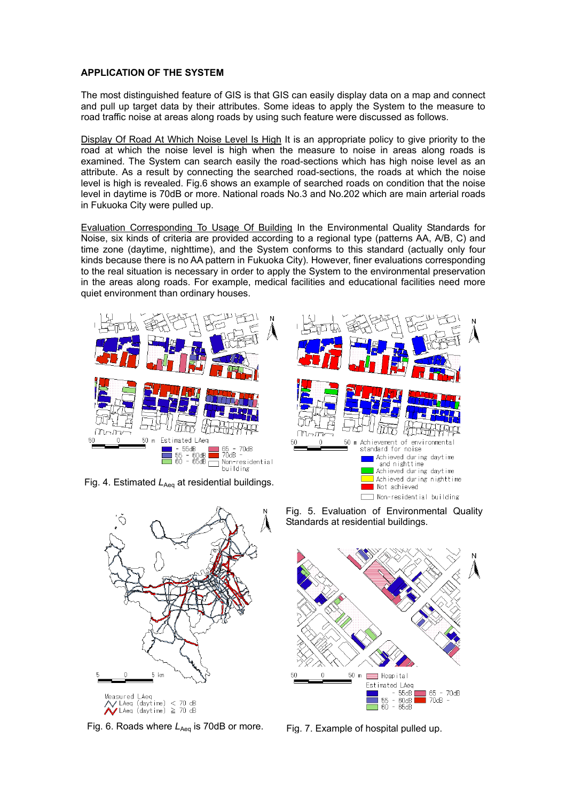## **APPLICATION OF THE SYSTEM**

The most distinguished feature of GIS is that GIS can easily display data on a map and connect and pull up target data by their attributes. Some ideas to apply the System to the measure to road traffic noise at areas along roads by using such feature were discussed as follows.

Display Of Road At Which Noise Level Is High It is an appropriate policy to give priority to the road at which the noise level is high when the measure to noise in areas along roads is examined. The System can search easily the road-sections which has high noise level as an attribute. As a result by connecting the searched road-sections, the roads at which the noise level is high is revealed. Fig.6 shows an example of searched roads on condition that the noise level in daytime is 70dB or more. National roads No.3 and No.202 which are main arterial roads in Fukuoka City were pulled up.

Evaluation Corresponding To Usage Of Building In the Environmental Quality Standards for Noise, six kinds of criteria are provided according to a regional type (patterns AA, A/B, C) and time zone (daytime, nighttime), and the System conforms to this standard (actually only four kinds because there is no AA pattern in Fukuoka City). However, finer evaluations corresponding to the real situation is necessary in order to apply the System to the environmental preservation in the areas along roads. For example, medical facilities and educational facilities need more quiet environment than ordinary houses.



Fig. 4. Estimated  $L_{Aeq}$  at residential buildings.



Fig. 6. Roads where L<sub>Aeq</sub> is 70dB or more. Fig. 7. Example of hospital pulled up.





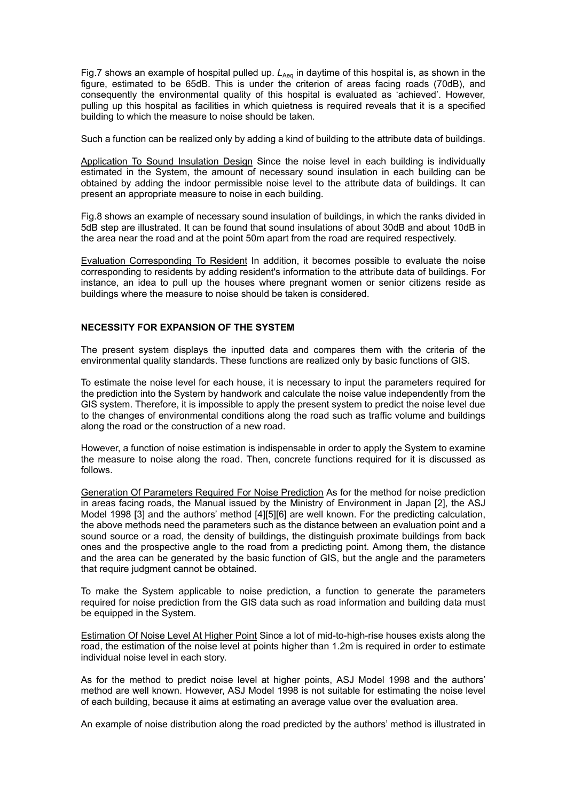Fig.7 shows an example of hospital pulled up. L<sub>Aeq</sub> in daytime of this hospital is, as shown in the figure, estimated to be 65dB. This is under the criterion of areas facing roads (70dB), and consequently the environmental quality of this hospital is evaluated as 'achieved'. However, pulling up this hospital as facilities in which quietness is required reveals that it is a specified building to which the measure to noise should be taken.

Such a function can be realized only by adding a kind of building to the attribute data of buildings.

Application To Sound Insulation Design Since the noise level in each building is individually estimated in the System, the amount of necessary sound insulation in each building can be obtained by adding the indoor permissible noise level to the attribute data of buildings. It can present an appropriate measure to noise in each building.

Fig.8 shows an example of necessary sound insulation of buildings, in which the ranks divided in 5dB step are illustrated. It can be found that sound insulations of about 30dB and about 10dB in the area near the road and at the point 50m apart from the road are required respectively.

Evaluation Corresponding To Resident In addition, it becomes possible to evaluate the noise corresponding to residents by adding resident's information to the attribute data of buildings. For instance, an idea to pull up the houses where pregnant women or senior citizens reside as buildings where the measure to noise should be taken is considered.

## **NECESSITY FOR EXPANSION OF THE SYSTEM**

The present system displays the inputted data and compares them with the criteria of the environmental quality standards. These functions are realized only by basic functions of GIS.

To estimate the noise level for each house, it is necessary to input the parameters required for the prediction into the System by handwork and calculate the noise value independently from the GIS system. Therefore, it is impossible to apply the present system to predict the noise level due to the changes of environmental conditions along the road such as traffic volume and buildings along the road or the construction of a new road.

However, a function of noise estimation is indispensable in order to apply the System to examine the measure to noise along the road. Then, concrete functions required for it is discussed as follows.

Generation Of Parameters Required For Noise Prediction As for the method for noise prediction in areas facing roads, the Manual issued by the Ministry of Environment in Japan [2], the ASJ Model 1998 [3] and the authors' method [4][5][6] are well known. For the predicting calculation, the above methods need the parameters such as the distance between an evaluation point and a sound source or a road, the density of buildings, the distinguish proximate buildings from back ones and the prospective angle to the road from a predicting point. Among them, the distance and the area can be generated by the basic function of GIS, but the angle and the parameters that require judgment cannot be obtained.

To make the System applicable to noise prediction, a function to generate the parameters required for noise prediction from the GIS data such as road information and building data must be equipped in the System.

Estimation Of Noise Level At Higher Point Since a lot of mid-to-high-rise houses exists along the road, the estimation of the noise level at points higher than 1.2m is required in order to estimate individual noise level in each story.

As for the method to predict noise level at higher points, ASJ Model 1998 and the authors' method are well known. However, ASJ Model 1998 is not suitable for estimating the noise level of each building, because it aims at estimating an average value over the evaluation area.

An example of noise distribution along the road predicted by the authors' method is illustrated in